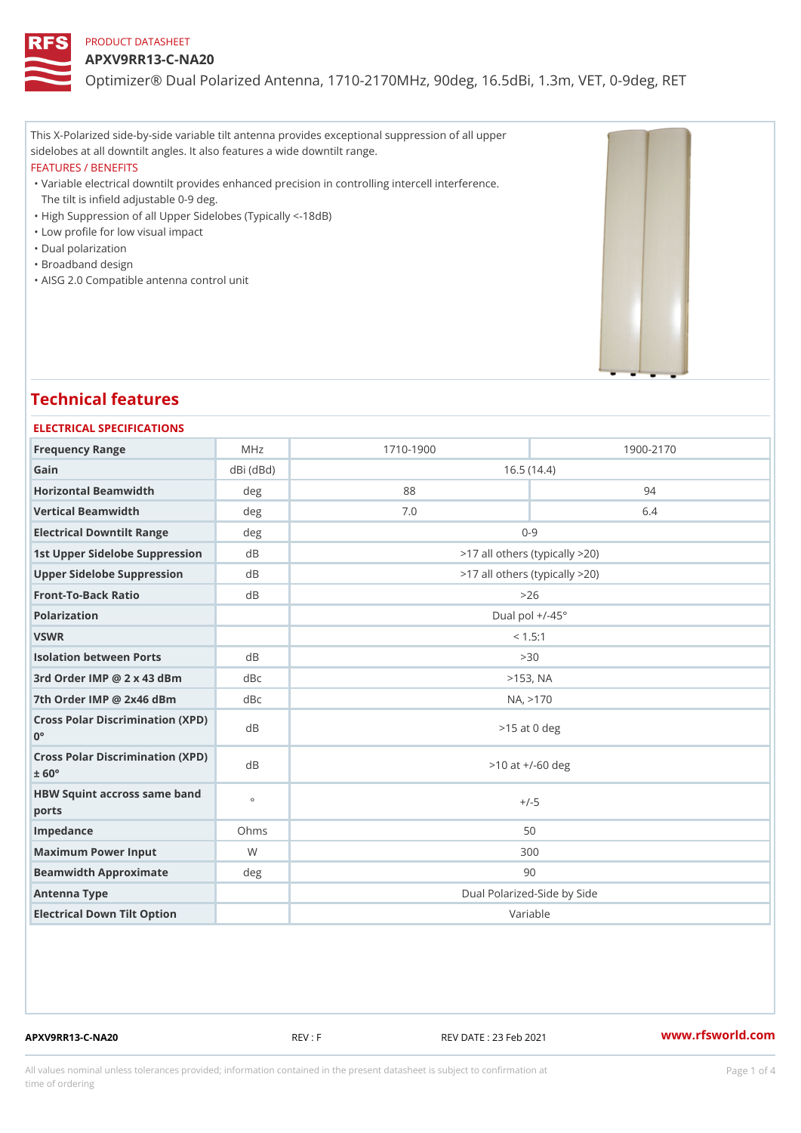### APXV9RR13-C-NA20

Optimizer® Dual Polarized Antenna, 1710-2170MHz, 90deg, 16.5dBi, 1.

This X-Polarized side-by-side variable tilt antenna provides exceptional suppression of all upper sidelobes at all downtilt angles. It also features a wide downtilt range. FEATURES / BENEFITS

Variable electrical downtilt provides enhanced precision in controlling intercell interference. " The tilt is infield adjustable 0-9 deg.

- "High Suppression of all Upper Sidelobes (Typically <-18dB)
- "Low profile for low visual impact
- "Dual polarization
- "Broadband design
- "AISG 2.0 Compatible antenna control unit

# Technical features

| ELECTRICAL SPECIFICATIONS                               |               |                                |           |  |
|---------------------------------------------------------|---------------|--------------------------------|-----------|--|
| Frequency Range                                         | MHz           | $1710 - 1900$                  | 1900-2170 |  |
| Gain                                                    | $dBi$ $(dBd)$ | 16.5(14.4)                     |           |  |
| Horizontal Beamwidth                                    | deg           | 88                             | 94        |  |
| Vertical Beamwidth                                      | deg           | 7.0                            | 6.4       |  |
| Electrical Downtilt Range<br>deg                        |               | $0 - 9$                        |           |  |
| 1st Upper Sidelobe SuppresdBon                          |               | >17 all others (typically >20) |           |  |
| Upper Sidelobe Suppressiond B                           |               | >17 all others (typically >20) |           |  |
| Front-To-Back Ratio                                     | d B           | >26                            |           |  |
| Polarization                                            |               | Dual pol $+/-45°$              |           |  |
| VSWR                                                    |               | < 1.5:1                        |           |  |
| <b>Isolation between Ports</b>                          | d B           | > 30                           |           |  |
| 3rd Order IMP @ 2 x 43 dBmdBc                           |               | $>153$ , NA                    |           |  |
| 7th Order IMP @ 2x46 cBm dBc                            |               | NA, > 170                      |           |  |
| Cross Polar Discrimination (XPD)<br>$0^{\circ}$         |               | $>15$ at 0 deg                 |           |  |
| Cross Polar Discrimination (XPD)<br>$\pm$ 60 $^{\circ}$ |               | $>10$ at $+/-60$ deg           |           |  |
| HBW Squint accross saine band<br>ports                  |               | $+/-5$                         |           |  |
| Impedance                                               | Ohms          | 50                             |           |  |
| Maximum Power Input                                     | W             | 300                            |           |  |
| Beamwidth Approximate                                   | deg           | 90                             |           |  |
| Antenna Type                                            |               | Dual Polarized-Side by Side    |           |  |
| Electrical Down Tilt Option                             |               |                                | Variable  |  |

APXV9RR13-C-NA20 REV : F REV DATE : 23 Feb 2021 [www.](https://www.rfsworld.com)rfsworld.com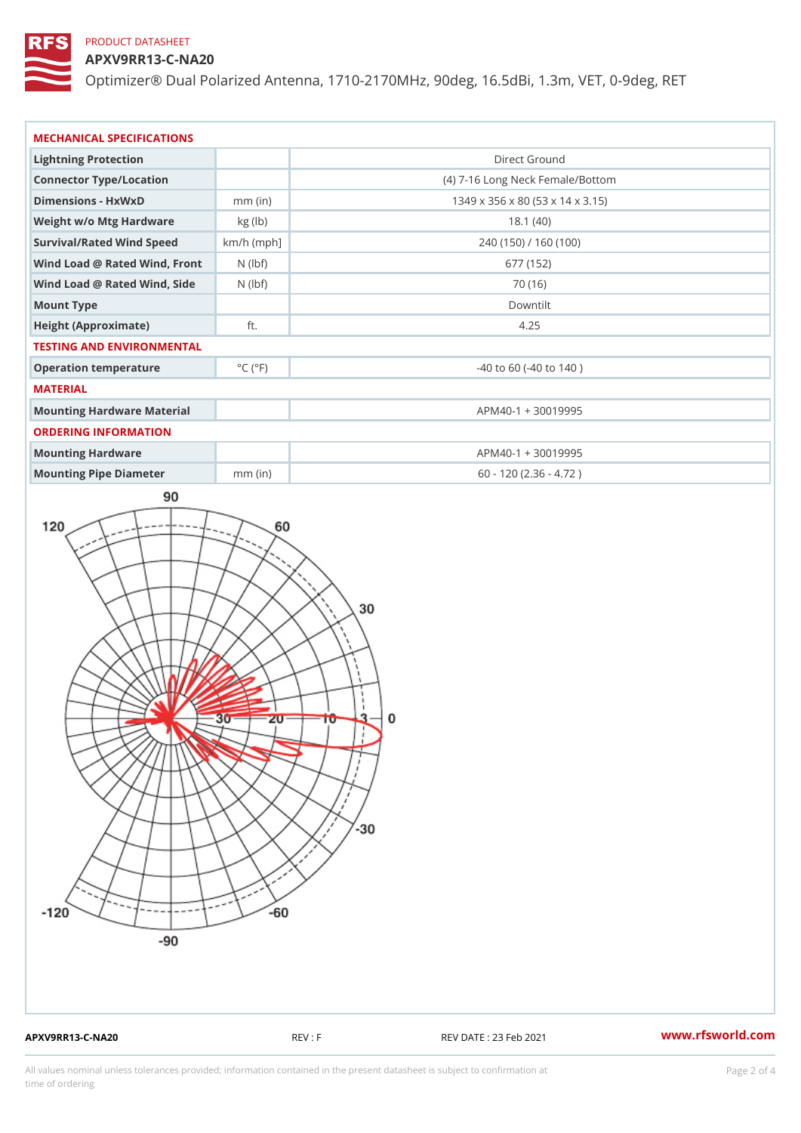# APXV9RR13-C-NA20

Optimizer® Dual Polarized Antenna, 1710-2170MHz, 90deg, 16.5dBi, 1.

| MECHANICAL SPECIFICATIONS          |                             |                                  |  |  |
|------------------------------------|-----------------------------|----------------------------------|--|--|
| Lightning Protection               |                             | Direct Ground                    |  |  |
| Connector Type/Location            |                             | (4) 7-16 Long Neck Female/Bottom |  |  |
| Dimensions - HxWxD                 | $mm$ (in)                   | 1349 x 356 x 80 (53 x 14 x 3.15) |  |  |
| Weight w/o Mtg Hardware kg (lb)    |                             | 18.1(40)                         |  |  |
| Survival/Rated Wind Speach/h (mph] |                             | 240 (150) / 160 (100)            |  |  |
| Wind Load @ Rated Wind, FNro(hbtf) |                             | 677 (152)                        |  |  |
| Wind Load @ Rated Wind, SNidebf)   |                             | 70 (16)                          |  |  |
| Mount Type                         |                             | Downtilt                         |  |  |
| Height (Approximate)               | ft.                         | 4.25                             |  |  |
| TESTING AND ENVIRONMENTAL          |                             |                                  |  |  |
| Operation temperature              | $^{\circ}$ C ( $^{\circ}$ F | $-40$ to 60 ( $-40$ to 140)      |  |  |
| MATERIAL                           |                             |                                  |  |  |
| Mounting Hardware Material         |                             | APM40-1 + 30019995               |  |  |
| ORDERING INFORMATION               |                             |                                  |  |  |
| Mounting Hardware                  |                             | APM40-1 + 30019995               |  |  |
| Mounting Pipe Diameter             | mm (in)                     | $60 - 120 (2.36 - 4.72)$         |  |  |

APXV9RR13-C-NA20 REV : F REV DATE : 23 Feb 2021 [www.](https://www.rfsworld.com)rfsworld.com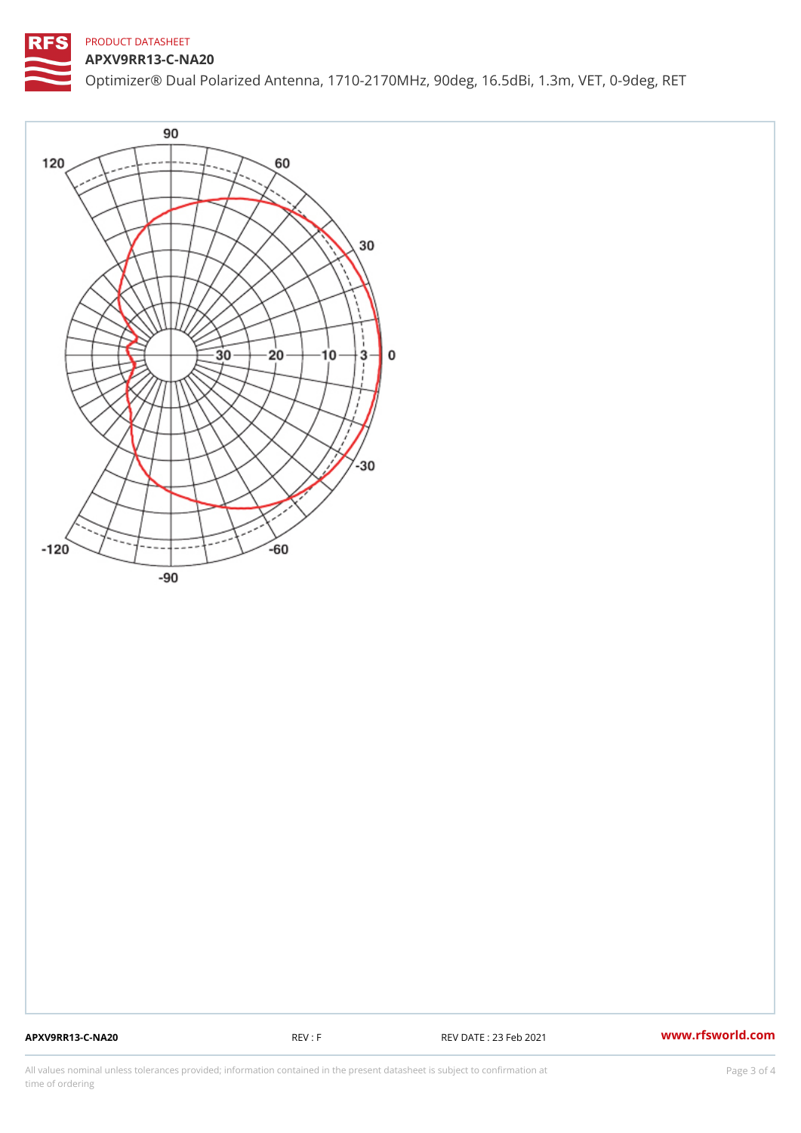APXV9RR13-C-NA20 Optimizer® Dual Polarized Antenna, 1710-2170MHz, 90deg, 16.5dBi, 1.

APXV9RR13-C-NA20 REV : F REV DATE : 23 Feb 2021 [www.](https://www.rfsworld.com)rfsworld.com

All values nominal unless tolerances provided; information contained in the present datasheet is subject to Pcapgeling that i time of ordering